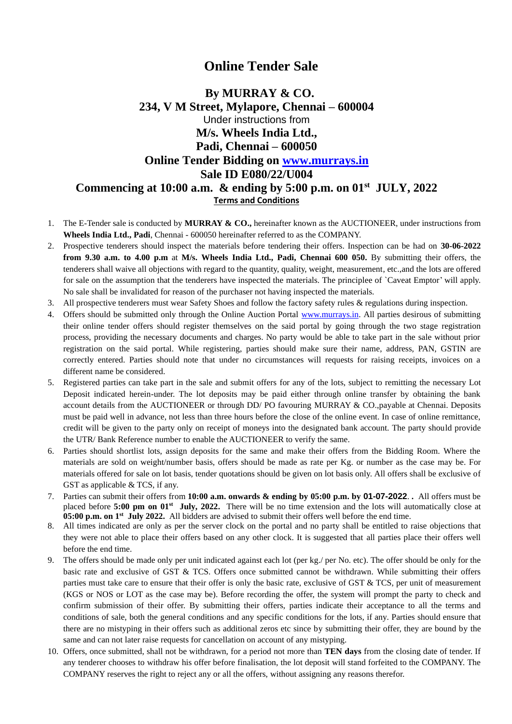# **Online Tender Sale**

## **By MURRAY & CO. 234, V M Street, Mylapore, Chennai – 600004** Under instructions from **M/s. Wheels India Ltd., Padi, Chennai – 600050 Online Tender Bidding on [www.murrays.in](http://www.murrays.in/) Sale ID E080/22/U004 Commencing at 10:00 a.m. & ending by 5:00 p.m. on 01st JULY, 2022 Terms and Conditions**

- 1. The E-Tender sale is conducted by **MURRAY & CO.,** hereinafter known as the AUCTIONEER, under instructions from **Wheels India Ltd., Padi**, Chennai - 600050 hereinafter referred to as the COMPANY.
- 2. Prospective tenderers should inspect the materials before tendering their offers. Inspection can be had on **30-06-2022 from 9.30 a.m. to 4.00 p.m** at **M/s. Wheels India Ltd., Padi, Chennai 600 050.** By submitting their offers, the tenderers shall waive all objections with regard to the quantity, quality, weight, measurement, etc.,and the lots are offered for sale on the assumption that the tenderers have inspected the materials. The principlee of `Caveat Emptor' will apply. No sale shall be invalidated for reason of the purchaser not having inspected the materials.
- 3. All prospective tenderers must wear Safety Shoes and follow the factory safety rules & regulations during inspection.
- 4. Offers should be submitted only through the Online Auction Portal [www.murrays.in.](http://www.murrays.in/) All parties desirous of submitting their online tender offers should register themselves on the said portal by going through the two stage registration process, providing the necessary documents and charges. No party would be able to take part in the sale without prior registration on the said portal. While registering, parties should make sure their name, address, PAN, GSTIN are correctly entered. Parties should note that under no circumstances will requests for raising receipts, invoices on a different name be considered.
- 5. Registered parties can take part in the sale and submit offers for any of the lots, subject to remitting the necessary Lot Deposit indicated herein-under. The lot deposits may be paid either through online transfer by obtaining the bank account details from the AUCTIONEER or through DD/ PO favouring MURRAY & CO.,payable at Chennai. Deposits must be paid well in advance, not less than three hours before the close of the online event. In case of online remittance, credit will be given to the party only on receipt of moneys into the designated bank account. The party should provide the UTR/ Bank Reference number to enable the AUCTIONEER to verify the same.
- 6. Parties should shortlist lots, assign deposits for the same and make their offers from the Bidding Room. Where the materials are sold on weight/number basis, offers should be made as rate per Kg. or number as the case may be. For materials offered for sale on lot basis, tender quotations should be given on lot basis only. All offers shall be exclusive of GST as applicable & TCS, if any.
- 7. Parties can submit their offers from **10:00 a.m. onwards & ending by 05:00 p.m. by 01-07-2022**. **.** All offers must be placed before 5:00 pm on 01<sup>st</sup> July, 2022. There will be no time extension and the lots will automatically close at **05:00 p.m.** on 1<sup>st</sup> July 2022. All bidders are advised to submit their offers well before the end time.
- 8. All times indicated are only as per the server clock on the portal and no party shall be entitled to raise objections that they were not able to place their offers based on any other clock. It is suggested that all parties place their offers well before the end time.
- 9. The offers should be made only per unit indicated against each lot (per kg./ per No. etc). The offer should be only for the basic rate and exclusive of GST & TCS. Offers once submitted cannot be withdrawn. While submitting their offers parties must take care to ensure that their offer is only the basic rate, exclusive of GST & TCS, per unit of measurement (KGS or NOS or LOT as the case may be). Before recording the offer, the system will prompt the party to check and confirm submission of their offer. By submitting their offers, parties indicate their acceptance to all the terms and conditions of sale, both the general conditions and any specific conditions for the lots, if any. Parties should ensure that there are no mistyping in their offers such as additional zeros etc since by submitting their offer, they are bound by the same and can not later raise requests for cancellation on account of any mistyping.
- 10. Offers, once submitted, shall not be withdrawn, for a period not more than **TEN days** from the closing date of tender. If any tenderer chooses to withdraw his offer before finalisation, the lot deposit will stand forfeited to the COMPANY. The COMPANY reserves the right to reject any or all the offers, without assigning any reasons therefor.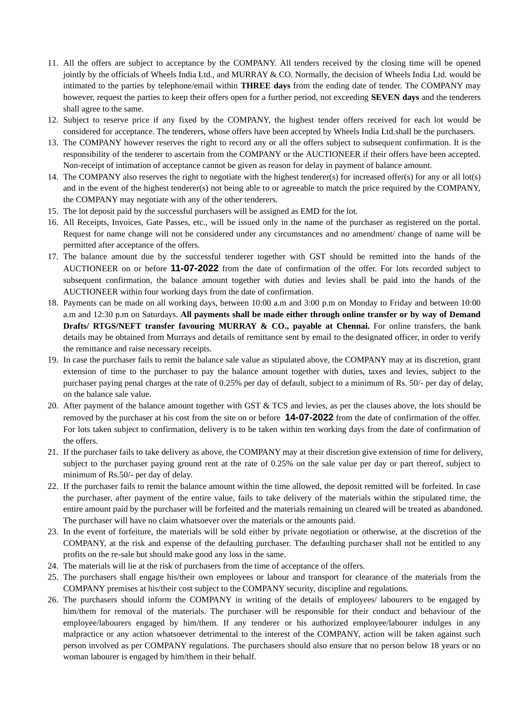- 11. All the offers are subject to acceptance by the COMPANY. All tenders received by the closing time will be opened jointly by the officials of Wheels India Ltd., and MURRAY & CO. Normally, the decision of Wheels India Ltd. would be intimated to the parties by telephone/email within **THREE days** from the ending date of tender. The COMPANY may however, request the parties to keep their offers open for a further period, not exceeding **SEVEN days** and the tenderers shall agree to the same.
- 12. Subject to reserve price if any fixed by the COMPANY, the highest tender offers received for each lot would be considered for acceptance. The tenderers, whose offers have been accepted by Wheels India Ltd.shall be the purchasers.
- 13. The COMPANY however reserves the right to record any or all the offers subject to subsequent confirmation. It is the responsibility of the tenderer to ascertain from the COMPANY or the AUCTIONEER if their offers have been accepted. Non-receipt of intimation of acceptance cannot be given as reason for delay in payment of balance amount.
- 14. The COMPANY also reserves the right to negotiate with the highest tenderer(s) for increased offer(s) for any or all lot(s) and in the event of the highest tenderer(s) not being able to or agreeable to match the price required by the COMPANY, the COMPANY may negotiate with any of the other tenderers.
- 15. The lot deposit paid by the successful purchasers will be assigned as EMD for the lot.
- 16. All Receipts, Invoices, Gate Passes, etc., will be issued only in the name of the purchaser as registered on the portal. Request for name change will not be considered under any circumstances and no amendment/ change of name will be permitted after acceptance of the offers.
- 17. The balance amount due by the successful tenderer together with GST should be remitted into the hands of the AUCTIONEER on or before **11-07-2022** from the date of confirmation of the offer. For lots recorded subject to subsequent confirmation, the balance amount together with duties and levies shall be paid into the hands of the AUCTIONEER within four working days from the date of confirmation.
- 18. Payments can be made on all working days, between 10:00 a.m and 3:00 p.m on Monday to Friday and between 10:00 a.m and 12:30 p.m on Saturdays. **All payments shall be made either through online transfer or by way of Demand Drafts/ RTGS/NEFT transfer favouring MURRAY & CO., payable at Chennai.** For online transfers, the bank details may be obtained from Murrays and details of remittance sent by email to the designated officer, in order to verify the remittance and raise necessary receipts.
- 19. In case the purchaser fails to remit the balance sale value as stipulated above, the COMPANY may at its discretion, grant extension of time to the purchaser to pay the balance amount together with duties, taxes and levies, subject to the purchaser paying penal charges at the rate of 0.25% per day of default, subject to a minimum of Rs. 50/- per day of delay, on the balance sale value.
- 20. After payment of the balance amount together with GST & TCS and levies, as per the clauses above, the lots should be removed by the purchaser at his cost from the site on or before **14-07-2022** from the date of confirmation of the offer. For lots taken subject to confirmation, delivery is to be taken within ten working days from the date of confirmation of the offers.
- 21. If the purchaser fails to take delivery as above, the COMPANY may at their discretion give extension of time for delivery, subject to the purchaser paying ground rent at the rate of 0.25% on the sale value per day or part thereof, subject to minimum of Rs.50/- per day of delay.
- 22. If the purchaser fails to remit the balance amount within the time allowed, the deposit remitted will be forfeited. In case the purchaser, after payment of the entire value, fails to take delivery of the materials within the stipulated time, the entire amount paid by the purchaser will be forfeited and the materials remaining un cleared will be treated as abandoned. The purchaser will have no claim whatsoever over the materials or the amounts paid.
- 23. In the event of forfeiture, the materials will be sold either by private negotiation or otherwise, at the discretion of the COMPANY, at the risk and expense of the defaulting purchaser. The defaulting purchaser shall not be entitled to any profits on the re-sale but should make good any loss in the same.
- 24. The materials will lie at the risk of purchasers from the time of acceptance of the offers.
- 25. The purchasers shall engage his/their own employees or labour and transport for clearance of the materials from the COMPANY premises at his/their cost subject to the COMPANY security, discipline and regulations.
- 26. The purchasers should inform the COMPANY in writing of the details of employees/ labourers to be engaged by him/them for removal of the materials. The purchaser will be responsible for their conduct and behaviour of the employee/labourers engaged by him/them. If any tenderer or his authorized employee/labourer indulges in any malpractice or any action whatsoever detrimental to the interest of the COMPANY, action will be taken against such person involved as per COMPANY regulations. The purchasers should also ensure that no person below 18 years or no woman labourer is engaged by him/them in their behalf.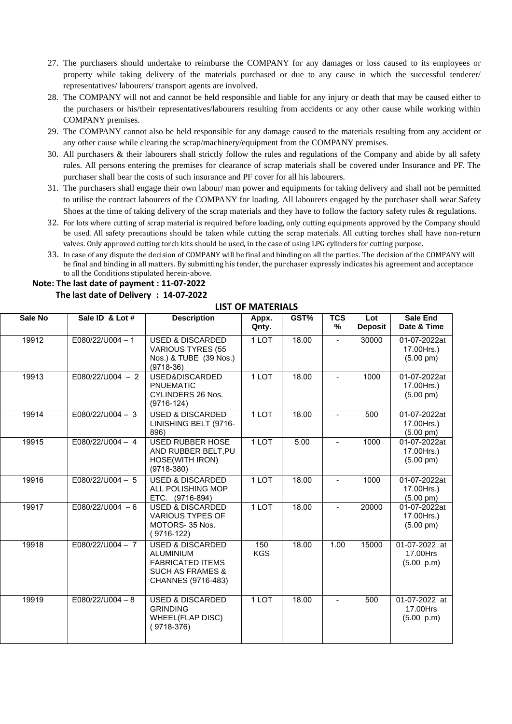- 27. The purchasers should undertake to reimburse the COMPANY for any damages or loss caused to its employees or property while taking delivery of the materials purchased or due to any cause in which the successful tenderer/ representatives/ labourers/ transport agents are involved.
- 28. The COMPANY will not and cannot be held responsible and liable for any injury or death that may be caused either to the purchasers or his/their representatives/labourers resulting from accidents or any other cause while working within COMPANY premises.
- 29. The COMPANY cannot also be held responsible for any damage caused to the materials resulting from any accident or any other cause while clearing the scrap/machinery/equipment from the COMPANY premises.
- 30. All purchasers & their labourers shall strictly follow the rules and regulations of the Company and abide by all safety rules. All persons entering the premises for clearance of scrap materials shall be covered under Insurance and PF. The purchaser shall bear the costs of such insurance and PF cover for all his labourers.
- 31. The purchasers shall engage their own labour/ man power and equipments for taking delivery and shall not be permitted to utilise the contract labourers of the COMPANY for loading. All labourers engaged by the purchaser shall wear Safety Shoes at the time of taking delivery of the scrap materials and they have to follow the factory safety rules & regulations.
- 32. For lots where cutting of scrap material is required before loading, only cutting equipments approved by the Company should be used. All safety precautions should be taken while cutting the scrap materials. All cutting torches shall have non-return valves. Only approved cutting torch kits should be used, in the case of using LPG cylinders for cutting purpose.
- 33. In case of any dispute the decision of COMPANY will be final and binding on all the parties. The decision of the COMPANY will be final and binding in all matters. By submitting his tender, the purchaser expressly indicates his agreement and acceptance to all the Conditions stipulated herein-above.

#### **Note: The last date of payment : 11-07-2022**

### **The last date of Delivery : 14-07-2022**

#### **LIST OF MATERIALS**

| Sale No | Sale ID & Lot #    | <b>Description</b>                                                                                                              | Appx.<br>Qnty.    | GST%  | <b>TCS</b><br>%          | Lot<br><b>Deposit</b> | <b>Sale End</b><br>Date & Time                    |
|---------|--------------------|---------------------------------------------------------------------------------------------------------------------------------|-------------------|-------|--------------------------|-----------------------|---------------------------------------------------|
| 19912   | $E080/22/U004 - 1$ | <b>USED &amp; DISCARDED</b><br><b>VARIOUS TYRES (55</b><br>Nos.) & TUBE (39 Nos.)<br>$(9718-36)$                                | 1 LOT             | 18.00 | L.                       | 30000                 | 01-07-2022at<br>17.00Hrs.)<br>$(5.00 \text{ pm})$ |
| 19913   | $E080/22/U004 - 2$ | USED&DISCARDED<br><b>PNUEMATIC</b><br><b>CYLINDERS 26 Nos.</b><br>$(9716-124)$                                                  | 1 LOT             | 18.00 | Ξ.                       | 1000                  | 01-07-2022at<br>17.00Hrs.)<br>$(5.00 \text{ pm})$ |
| 19914   | $E080/22/U004 - 3$ | <b>USED &amp; DISCARDED</b><br>LINISHING BELT (9716-<br>896)                                                                    | 1 LOT             | 18.00 |                          | 500                   | 01-07-2022at<br>17.00Hrs.)<br>$(5.00 \text{ pm})$ |
| 19915   | E080/22/U004 - 4   | <b>USED RUBBER HOSE</b><br>AND RUBBER BELT, PU<br>HOSE(WITH IRON)<br>$(9718-380)$                                               | 1 LOT             | 5.00  | $\blacksquare$           | 1000                  | 01-07-2022at<br>17.00Hrs.)<br>$(5.00 \text{ pm})$ |
| 19916   | $E080/22/U004 - 5$ | <b>USED &amp; DISCARDED</b><br>ALL POLISHING MOP<br>ETC. (9716-894)                                                             | 1 LOT             | 18.00 |                          | 1000                  | 01-07-2022at<br>17.00Hrs.)<br>$(5.00 \text{ pm})$ |
| 19917   | E080/22/U004 $-6$  | <b>USED &amp; DISCARDED</b><br><b>VARIOUS TYPES OF</b><br>MOTORS-35 Nos.<br>$(9716-122)$                                        | 1 LOT             | 18.00 | ä,                       | 20000                 | 01-07-2022at<br>17.00Hrs.)<br>$(5.00 \text{ pm})$ |
| 19918   | $E080/22/U004 - 7$ | <b>USED &amp; DISCARDED</b><br><b>ALUMINIUM</b><br><b>FABRICATED ITEMS</b><br><b>SUCH AS FRAMES &amp;</b><br>CHANNES (9716-483) | 150<br><b>KGS</b> | 18.00 | 1.00                     | 15000                 | 01-07-2022 at<br>17.00Hrs<br>(5.00 p.m)           |
| 19919   | $E080/22/U004 - 8$ | <b>USED &amp; DISCARDED</b><br><b>GRINDING</b><br><b>WHEEL(FLAP DISC)</b><br>$(9718-376)$                                       | 1 LOT             | 18.00 | $\overline{\phantom{0}}$ | 500                   | 01-07-2022 at<br>17.00Hrs<br>(5.00 p.m)           |